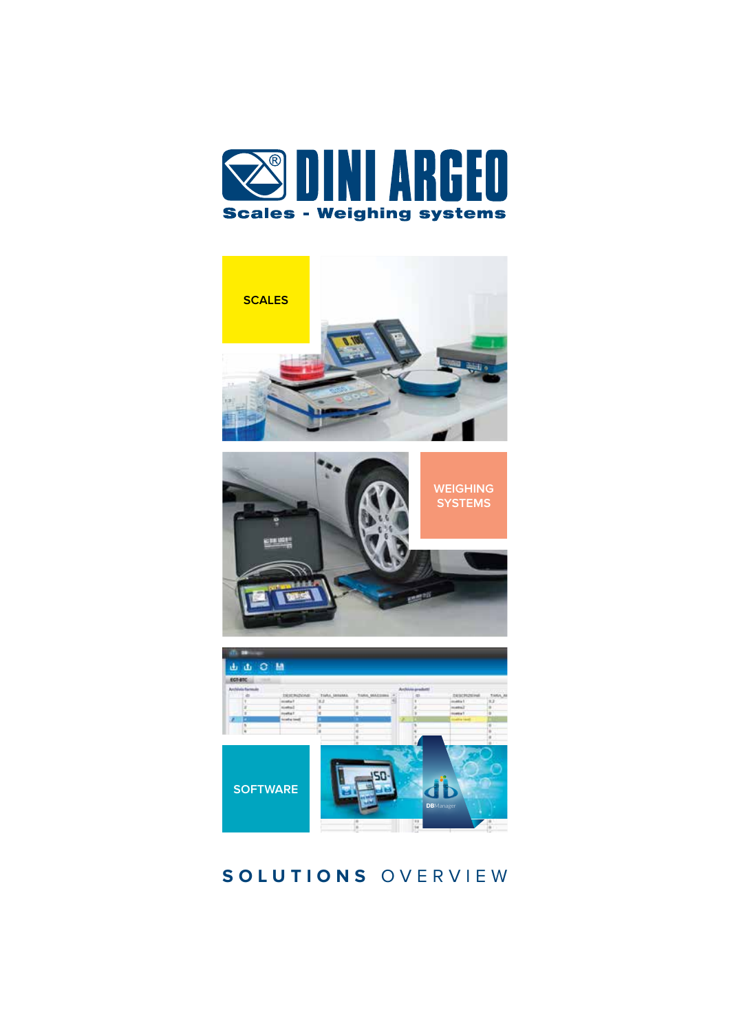



## **SOLUTIONS** OVERVIEW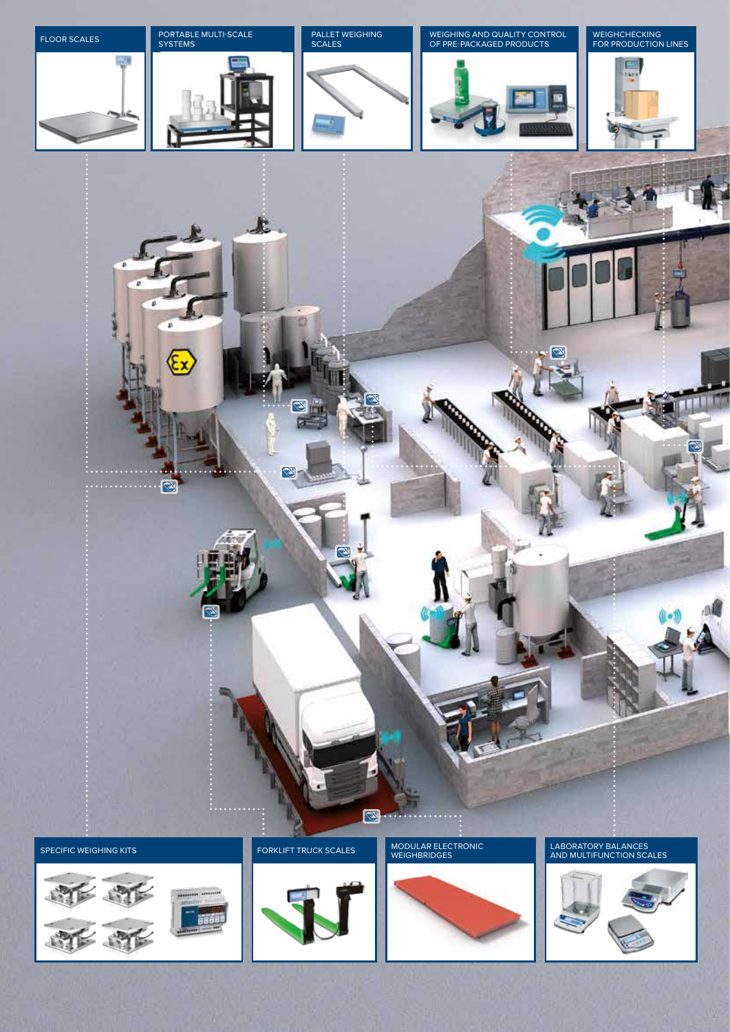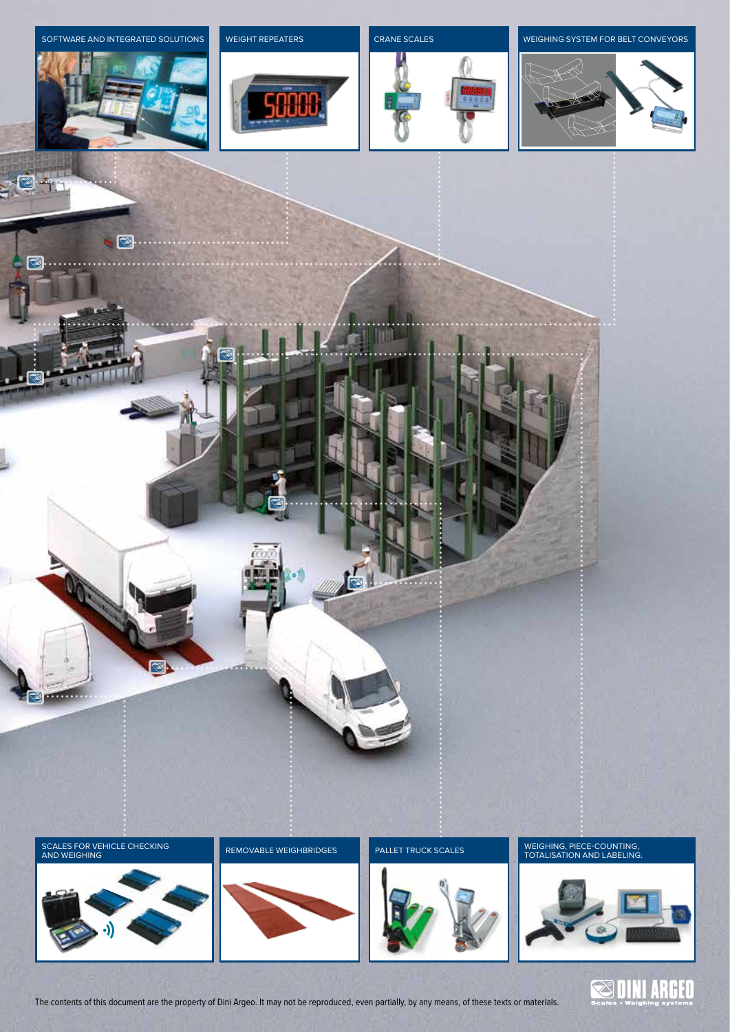

 $\sqrt{2}$ 

 $\boxed{\otimes}$ 

. . . . . .

8



## SOFTWARE AND INTEGRATED SOLUTIONS WEIGHT REPEATERS CRANE SCALES CRANE SCALES WEIGHING SYSTEM FOR BELT CONVEYORS



SCALES FOR VEHICLE CHECKING AND WEIGHING

**B.** 





 $\mathbf{d}$ 





The contents of this document are the property of Dini Argeo. It may not be reproduced, even partially, by any means, of these texts or materials.